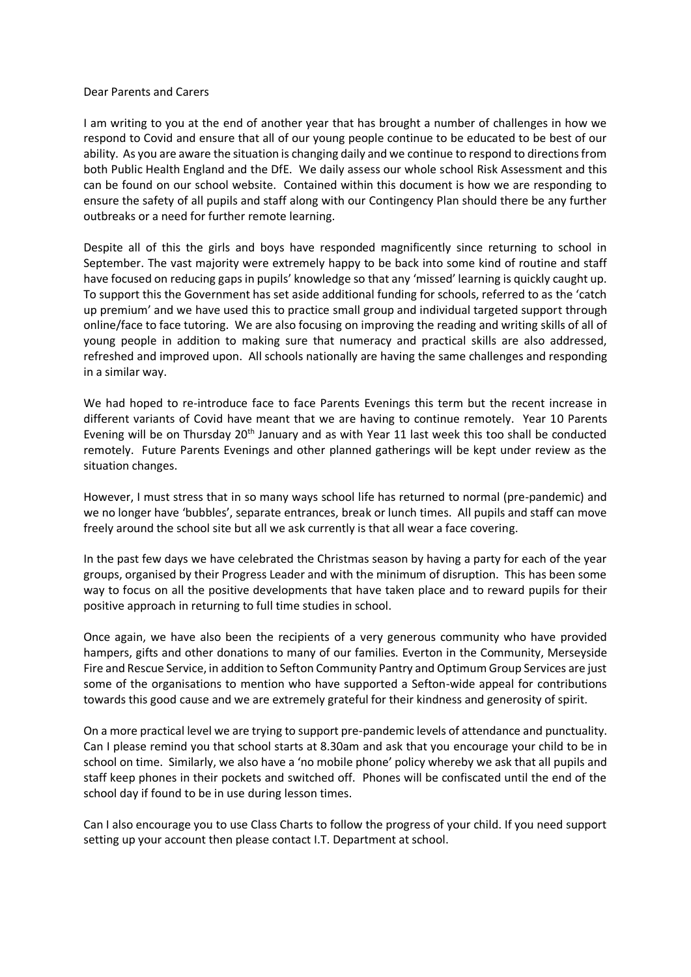## Dear Parents and Carers

I am writing to you at the end of another year that has brought a number of challenges in how we respond to Covid and ensure that all of our young people continue to be educated to be best of our ability. As you are aware the situation is changing daily and we continue to respond to directions from both Public Health England and the DfE. We daily assess our whole school Risk Assessment and this can be found on our school website. Contained within this document is how we are responding to ensure the safety of all pupils and staff along with our Contingency Plan should there be any further outbreaks or a need for further remote learning.

Despite all of this the girls and boys have responded magnificently since returning to school in September. The vast majority were extremely happy to be back into some kind of routine and staff have focused on reducing gaps in pupils' knowledge so that any 'missed' learning is quickly caught up. To support this the Government has set aside additional funding for schools, referred to as the 'catch up premium' and we have used this to practice small group and individual targeted support through online/face to face tutoring. We are also focusing on improving the reading and writing skills of all of young people in addition to making sure that numeracy and practical skills are also addressed, refreshed and improved upon. All schools nationally are having the same challenges and responding in a similar way.

We had hoped to re-introduce face to face Parents Evenings this term but the recent increase in different variants of Covid have meant that we are having to continue remotely. Year 10 Parents Evening will be on Thursday 20<sup>th</sup> January and as with Year 11 last week this too shall be conducted remotely. Future Parents Evenings and other planned gatherings will be kept under review as the situation changes.

However, I must stress that in so many ways school life has returned to normal (pre-pandemic) and we no longer have 'bubbles', separate entrances, break or lunch times. All pupils and staff can move freely around the school site but all we ask currently is that all wear a face covering.

In the past few days we have celebrated the Christmas season by having a party for each of the year groups, organised by their Progress Leader and with the minimum of disruption. This has been some way to focus on all the positive developments that have taken place and to reward pupils for their positive approach in returning to full time studies in school.

Once again, we have also been the recipients of a very generous community who have provided hampers, gifts and other donations to many of our families. Everton in the Community, Merseyside Fire and Rescue Service, in addition to Sefton Community Pantry and Optimum Group Services are just some of the organisations to mention who have supported a Sefton-wide appeal for contributions towards this good cause and we are extremely grateful for their kindness and generosity of spirit.

On a more practical level we are trying to support pre-pandemic levels of attendance and punctuality. Can I please remind you that school starts at 8.30am and ask that you encourage your child to be in school on time. Similarly, we also have a 'no mobile phone' policy whereby we ask that all pupils and staff keep phones in their pockets and switched off. Phones will be confiscated until the end of the school day if found to be in use during lesson times.

Can I also encourage you to use Class Charts to follow the progress of your child. If you need support setting up your account then please contact I.T. Department at school.